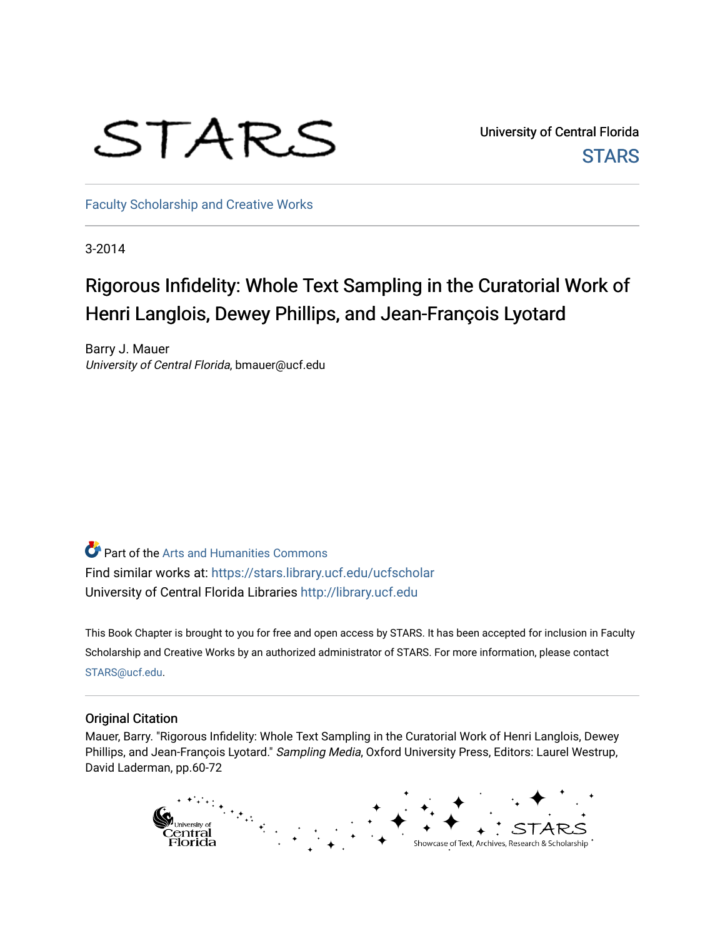

University of Central Florida **STARS** 

[Faculty Scholarship and Creative Works](https://stars.library.ucf.edu/ucfscholar) 

3-2014

# Rigorous Infidelity: Whole Text Sampling in the Curatorial Work of Henri Langlois, Dewey Phillips, and Jean-François Lyotard

Barry J. Mauer University of Central Florida, bmauer@ucf.edu

Part of the [Arts and Humanities Commons](http://network.bepress.com/hgg/discipline/438?utm_source=stars.library.ucf.edu%2Fucfscholar%2F604&utm_medium=PDF&utm_campaign=PDFCoverPages)  Find similar works at: <https://stars.library.ucf.edu/ucfscholar> University of Central Florida Libraries [http://library.ucf.edu](http://library.ucf.edu/) 

This Book Chapter is brought to you for free and open access by STARS. It has been accepted for inclusion in Faculty Scholarship and Creative Works by an authorized administrator of STARS. For more information, please contact [STARS@ucf.edu](mailto:STARS@ucf.edu).

# Original Citation

Mauer, Barry. "Rigorous Infidelity: Whole Text Sampling in the Curatorial Work of Henri Langlois, Dewey Phillips, and Jean-François Lyotard." Sampling Media, Oxford University Press, Editors: Laurel Westrup, David Laderman, pp.60-72

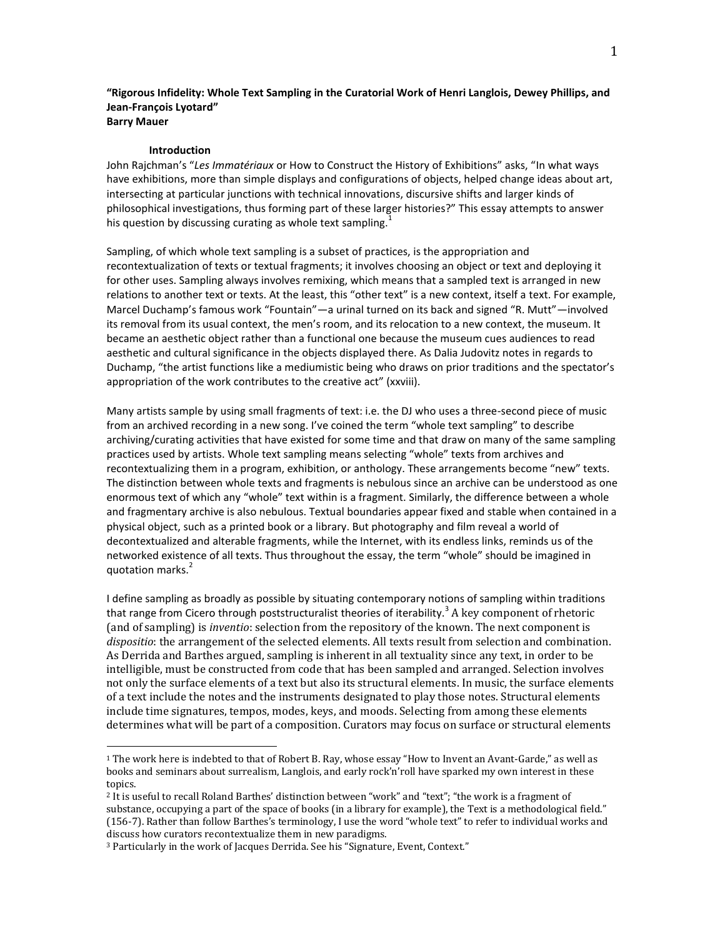# **"Rigorous Infidelity: Whole Text Sampling in the Curatorial Work of Henri Langlois, Dewey Phillips, and Jean-François Lyotard" Barry Mauer**

#### **Introduction**

 $\overline{a}$ 

John Rajchman's "*Les Immatériaux* or How to Construct the History of Exhibitions" asks, "In what ways have exhibitions, more than simple displays and configurations of objects, helped change ideas about art, intersecting at particular junctions with technical innovations, discursive shifts and larger kinds of philosophical investigations, thus forming part of these larger histories?" This essay attempts to answer his question by discussing curating as whole text sampling.<sup>1</sup>

Sampling, of which whole text sampling is a subset of practices, is the appropriation and recontextualization of texts or textual fragments; it involves choosing an object or text and deploying it for other uses. Sampling always involves remixing, which means that a sampled text is arranged in new relations to another text or texts. At the least, this "other text" is a new context, itself a text. For example, Marcel Duchamp's famous work "Fountain"—a urinal turned on its back and signed "R. Mutt"—involved its removal from its usual context, the men's room, and its relocation to a new context, the museum. It became an aesthetic object rather than a functional one because the museum cues audiences to read aesthetic and cultural significance in the objects displayed there. As Dalia Judovitz notes in regards to Duchamp, "the artist functions like a mediumistic being who draws on prior traditions and the spectator's appropriation of the work contributes to the creative act" (xxviii).

Many artists sample by using small fragments of text: i.e. the DJ who uses a three-second piece of music from an archived recording in a new song. I've coined the term "whole text sampling" to describe archiving/curating activities that have existed for some time and that draw on many of the same sampling practices used by artists. Whole text sampling means selecting "whole" texts from archives and recontextualizing them in a program, exhibition, or anthology. These arrangements become "new" texts. The distinction between whole texts and fragments is nebulous since an archive can be understood as one enormous text of which any "whole" text within is a fragment. Similarly, the difference between a whole and fragmentary archive is also nebulous. Textual boundaries appear fixed and stable when contained in a physical object, such as a printed book or a library. But photography and film reveal a world of decontextualized and alterable fragments, while the Internet, with its endless links, reminds us of the networked existence of all texts. Thus throughout the essay, the term "whole" should be imagined in quotation marks.<sup>2</sup>

I define sampling as broadly as possible by situating contemporary notions of sampling within traditions that range from Cicero through poststructuralist theories of iterability.<sup>3</sup> A key component of rhetoric (and of sampling) is *inventio*: selection from the repository of the known. The next component is *dispositio*: the arrangement of the selected elements. All texts result from selection and combination. As Derrida and Barthes argued, sampling is inherent in all textuality since any text, in order to be intelligible, must be constructed from code that has been sampled and arranged. Selection involves not only the surface elements of a text but also its structural elements. In music, the surface elements of a text include the notes and the instruments designated to play those notes. Structural elements include time signatures, tempos, modes, keys, and moods. Selecting from among these elements determines what will be part of a composition. Curators may focus on surface or structural elements

<sup>1</sup> The work here is indebted to that of Robert B. Ray, whose essay "How to Invent an Avant-Garde," as well as books and seminars about surrealism, Langlois, and early rock'n'roll have sparked my own interest in these topics.

<sup>2</sup> It is useful to recall Roland Barthes' distinction between "work" and "text"; "the work is a fragment of substance, occupying a part of the space of books (in a library for example), the Text is a methodological field." (156-7). Rather than follow Barthes's terminology, I use the word "whole text" to refer to individual works and discuss how curators recontextualize them in new paradigms.

<sup>3</sup> Particularly in the work of Jacques Derrida. See his "Signature, Event, Context."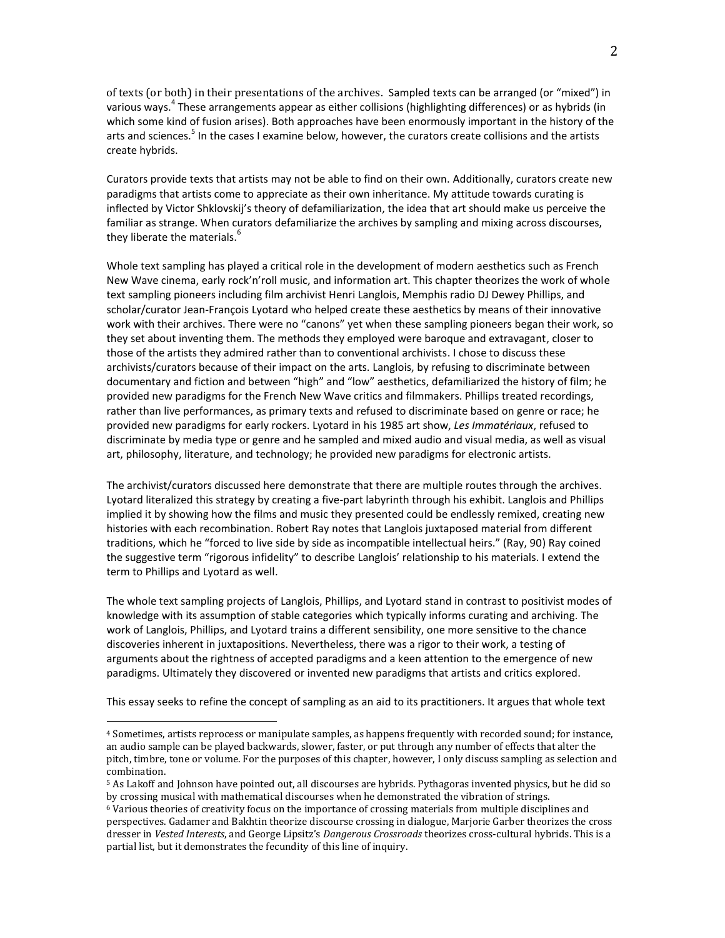of texts (or both) in their presentations of the archives. Sampled texts can be arranged (or "mixed") in various ways.<sup>4</sup> These arrangements appear as either collisions (highlighting differences) or as hybrids (in which some kind of fusion arises). Both approaches have been enormously important in the history of the arts and sciences.<sup>5</sup> In the cases I examine below, however, the curators create collisions and the artists create hybrids.

Curators provide texts that artists may not be able to find on their own. Additionally, curators create new paradigms that artists come to appreciate as their own inheritance. My attitude towards curating is inflected by Victor Shklovskij's theory of defamiliarization, the idea that art should make us perceive the familiar as strange. When curators defamiliarize the archives by sampling and mixing across discourses, they liberate the materials.<sup>6</sup>

Whole text sampling has played a critical role in the development of modern aesthetics such as French New Wave cinema, early rock'n'roll music, and information art. This chapter theorizes the work of whole text sampling pioneers including film archivist Henri Langlois, Memphis radio DJ Dewey Phillips, and scholar/curator Jean-François Lyotard who helped create these aesthetics by means of their innovative work with their archives. There were no "canons" yet when these sampling pioneers began their work, so they set about inventing them. The methods they employed were baroque and extravagant, closer to those of the artists they admired rather than to conventional archivists. I chose to discuss these archivists/curators because of their impact on the arts. Langlois, by refusing to discriminate between documentary and fiction and between "high" and "low" aesthetics, defamiliarized the history of film; he provided new paradigms for the French New Wave critics and filmmakers. Phillips treated recordings, rather than live performances, as primary texts and refused to discriminate based on genre or race; he provided new paradigms for early rockers. Lyotard in his 1985 art show, *Les Immatériaux*, refused to discriminate by media type or genre and he sampled and mixed audio and visual media, as well as visual art, philosophy, literature, and technology; he provided new paradigms for electronic artists.

The archivist/curators discussed here demonstrate that there are multiple routes through the archives. Lyotard literalized this strategy by creating a five-part labyrinth through his exhibit. Langlois and Phillips implied it by showing how the films and music they presented could be endlessly remixed, creating new histories with each recombination. Robert Ray notes that Langlois juxtaposed material from different traditions, which he "forced to live side by side as incompatible intellectual heirs." (Ray, 90) Ray coined the suggestive term "rigorous infidelity" to describe Langlois' relationship to his materials. I extend the term to Phillips and Lyotard as well.

The whole text sampling projects of Langlois, Phillips, and Lyotard stand in contrast to positivist modes of knowledge with its assumption of stable categories which typically informs curating and archiving. The work of Langlois, Phillips, and Lyotard trains a different sensibility, one more sensitive to the chance discoveries inherent in juxtapositions. Nevertheless, there was a rigor to their work, a testing of arguments about the rightness of accepted paradigms and a keen attention to the emergence of new paradigms. Ultimately they discovered or invented new paradigms that artists and critics explored.

This essay seeks to refine the concept of sampling as an aid to its practitioners. It argues that whole text

 $\overline{a}$ 

<sup>4</sup> Sometimes, artists reprocess or manipulate samples, as happens frequently with recorded sound; for instance, an audio sample can be played backwards, slower, faster, or put through any number of effects that alter the pitch, timbre, tone or volume. For the purposes of this chapter, however, I only discuss sampling as selection and combination.

<sup>5</sup> As Lakoff and Johnson have pointed out, all discourses are hybrids. Pythagoras invented physics, but he did so by crossing musical with mathematical discourses when he demonstrated the vibration of strings.

<sup>6</sup> Various theories of creativity focus on the importance of crossing materials from multiple disciplines and perspectives. Gadamer and Bakhtin theorize discourse crossing in dialogue, Marjorie Garber theorizes the cross dresser in *Vested Interests*, and George Lipsitz's *Dangerous Crossroads* theorizes cross-cultural hybrids. This is a partial list, but it demonstrates the fecundity of this line of inquiry.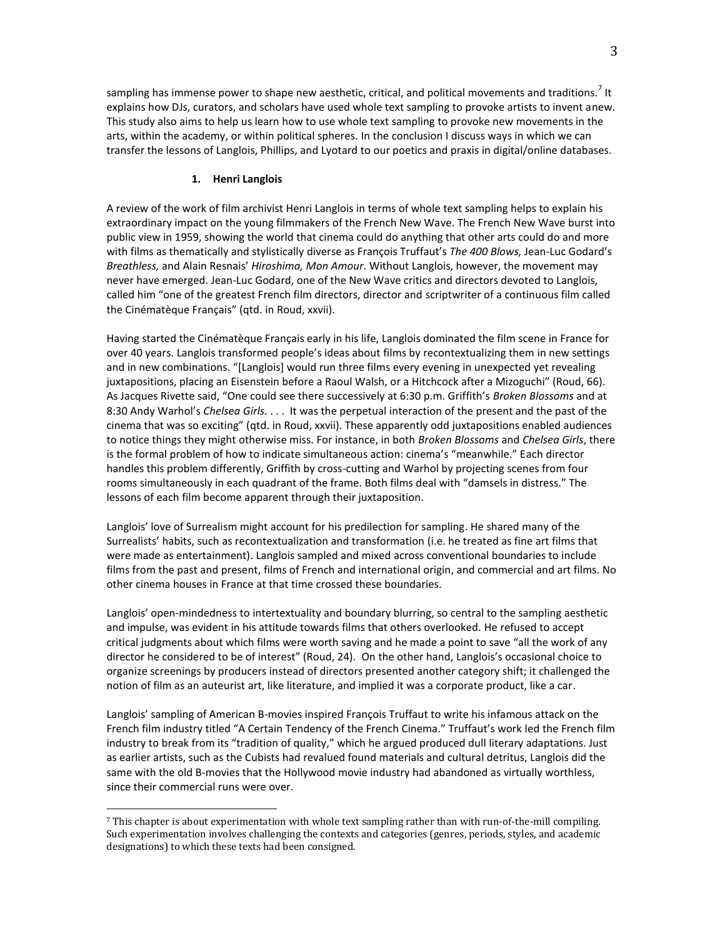sampling has immense power to shape new aesthetic, critical, and political movements and traditions.<sup>7</sup> It explains how DJs, curators, and scholars have used whole text sampling to provoke artists to invent anew. This study also aims to help us learn how to use whole text sampling to provoke new movements in the arts, within the academy, or within political spheres. In the conclusion I discuss ways in which we can transfer the lessons of Langlois, Phillips, and Lyotard to our poetics and praxis in digital/online databases.

# **1. Henri Langlois**

A review of the work of film archivist Henri Langlois in terms of whole text sampling helps to explain his extraordinary impact on the young filmmakers of the French New Wave. The French New Wave burst into public view in 1959, showing the world that cinema could do anything that other arts could do and more with films as thematically and stylistically diverse as Franҫois Truffaut's *The 400 Blows,* Jean-Luc Godard's *Breathless,* and Alain Resnais' *Hiroshima, Mon Amour*. Without Langlois, however, the movement may never have emerged. Jean-Luc Godard, one of the New Wave critics and directors devoted to Langlois, called him "one of the greatest French film directors, director and scriptwriter of a continuous film called the Cinématèque Français" (qtd. in Roud, xxvii).

Having started the Cinématèque Français early in his life, Langlois dominated the film scene in France for over 40 years. Langlois transformed people's ideas about films by recontextualizing them in new settings and in new combinations. "[Langlois] would run three films every evening in unexpected yet revealing juxtapositions, placing an Eisenstein before a Raoul Walsh, or a Hitchcock after a Mizoguchi" (Roud, 66). As Jacques Rivette said, "One could see there successively at 6:30 p.m. Griffith's *Broken Blossoms* and at 8:30 Andy Warhol's *Chelsea Girls.* . . . It was the perpetual interaction of the present and the past of the cinema that was so exciting" (qtd. in Roud, xxvii). These apparently odd juxtapositions enabled audiences to notice things they might otherwise miss. For instance, in both *Broken Blossoms* and *Chelsea Girls*, there is the formal problem of how to indicate simultaneous action: cinema's "meanwhile." Each director handles this problem differently, Griffith by cross-cutting and Warhol by projecting scenes from four rooms simultaneously in each quadrant of the frame. Both films deal with "damsels in distress." The lessons of each film become apparent through their juxtaposition.

Langlois' love of Surrealism might account for his predilection for sampling. He shared many of the Surrealists' habits, such as recontextualization and transformation (i.e. he treated as fine art films that were made as entertainment). Langlois sampled and mixed across conventional boundaries to include films from the past and present, films of French and international origin, and commercial and art films. No other cinema houses in France at that time crossed these boundaries.

Langlois' open-mindedness to intertextuality and boundary blurring, so central to the sampling aesthetic and impulse, was evident in his attitude towards films that others overlooked. He refused to accept critical judgments about which films were worth saving and he made a point to save "all the work of any director he considered to be of interest" (Roud, 24). On the other hand, Langlois's occasional choice to organize screenings by producers instead of directors presented another category shift; it challenged the notion of film as an auteurist art, like literature, and implied it was a corporate product, like a car.

Langlois' sampling of American B-movies inspired François Truffaut to write his infamous attack on the French film industry titled "A Certain Tendency of the French Cinema." Truffaut's work led the French film industry to break from its "tradition of quality," which he argued produced dull literary adaptations. Just as earlier artists, such as the Cubists had revalued found materials and cultural detritus, Langlois did the same with the old B-movies that the Hollywood movie industry had abandoned as virtually worthless, since their commercial runs were over.

l

<sup>7</sup> This chapter is about experimentation with whole text sampling rather than with run-of-the-mill compiling. Such experimentation involves challenging the contexts and categories (genres, periods, styles, and academic designations) to which these texts had been consigned.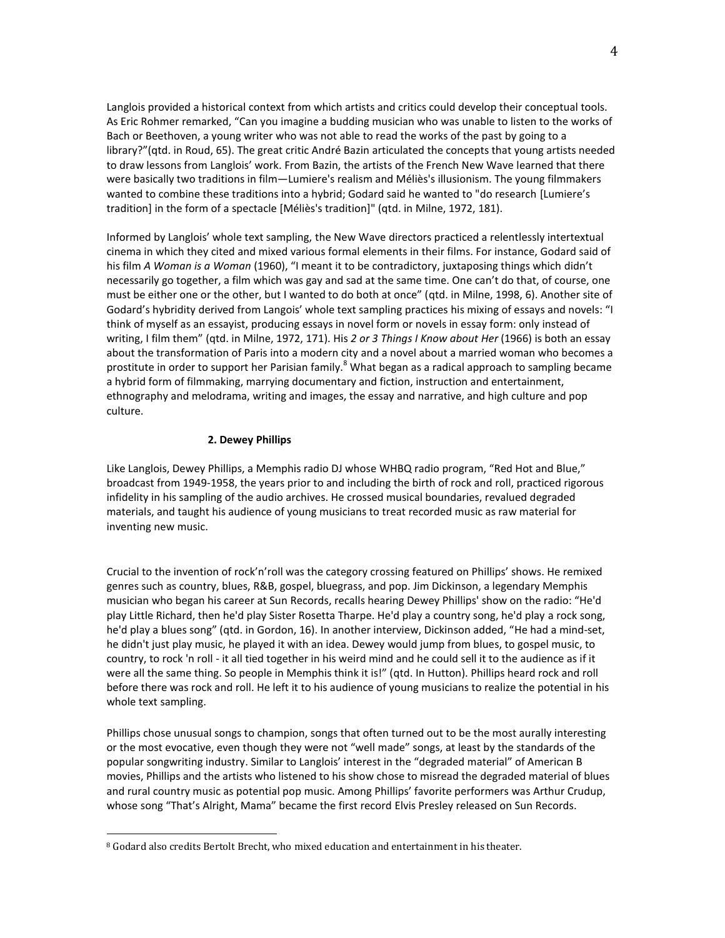Langlois provided a historical context from which artists and critics could develop their conceptual tools. As Eric Rohmer remarked, "Can you imagine a budding musician who was unable to listen to the works of Bach or Beethoven, a young writer who was not able to read the works of the past by going to a library?"(qtd. in Roud, 65). The great critic André Bazin articulated the concepts that young artists needed to draw lessons from Langlois' work. From Bazin, the artists of the French New Wave learned that there were basically two traditions in film—Lumiere's realism and Méliès's illusionism. The young filmmakers wanted to combine these traditions into a hybrid; Godard said he wanted to "do research [Lumiere's tradition] in the form of a spectacle [Méliès's tradition]" (qtd. in Milne, 1972, 181).

Informed by Langlois' whole text sampling, the New Wave directors practiced a relentlessly intertextual cinema in which they cited and mixed various formal elements in their films. For instance, Godard said of his film *A Woman is a Woman* (1960), "I meant it to be contradictory, juxtaposing things which didn't necessarily go together, a film which was gay and sad at the same time. One can't do that, of course, one must be either one or the other, but I wanted to do both at once" (qtd. in Milne, 1998, 6). Another site of Godard's hybridity derived from Langois' whole text sampling practices his mixing of essays and novels: "I think of myself as an essayist, producing essays in novel form or novels in essay form: only instead of writing, I film them" (qtd. in Milne, 1972, 171). His *2 or 3 Things I Know about Her* (1966) is both an essay about the transformation of Paris into a modern city and a novel about a married woman who becomes a prostitute in order to support her Parisian family.<sup>8</sup> What began as a radical approach to sampling became a hybrid form of filmmaking, marrying documentary and fiction, instruction and entertainment, ethnography and melodrama, writing and images, the essay and narrative, and high culture and pop culture.

### **2. Dewey Phillips**

Like Langlois, Dewey Phillips, a Memphis radio DJ whose WHBQ radio program, "Red Hot and Blue," broadcast from 1949-1958, the years prior to and including the birth of rock and roll, practiced rigorous infidelity in his sampling of the audio archives. He crossed musical boundaries, revalued degraded materials, and taught his audience of young musicians to treat recorded music as raw material for inventing new music.

Crucial to the invention of rock'n'roll was the category crossing featured on Phillips' shows. He remixed genres such as country, blues, R&B, gospel, bluegrass, and pop. Jim Dickinson, a legendary Memphis musician who began his career at Sun Records, recalls hearing Dewey Phillips' show on the radio: "He'd play Little Richard, then he'd play Sister Rosetta Tharpe. He'd play a country song, he'd play a rock song, he'd play a blues song" (qtd. in Gordon, 16). In another interview, Dickinson added, "He had a mind-set, he didn't just play music, he played it with an idea. Dewey would jump from blues, to gospel music, to country, to rock 'n roll - it all tied together in his weird mind and he could sell it to the audience as if it were all the same thing. So people in Memphis think it is!" (qtd. In Hutton). Phillips heard rock and roll before there was rock and roll. He left it to his audience of young musicians to realize the potential in his whole text sampling.

Phillips chose unusual songs to champion, songs that often turned out to be the most aurally interesting or the most evocative, even though they were not "well made" songs, at least by the standards of the popular songwriting industry. Similar to Langlois' interest in the "degraded material" of American B movies, Phillips and the artists who listened to his show chose to misread the degraded material of blues and rural country music as potential pop music. Among Phillips' favorite performers was Arthur Crudup, whose song "That's Alright, Mama" became the first record Elvis Presley released on Sun Records.

 $\overline{a}$ 

<sup>8</sup> Godard also credits Bertolt Brecht, who mixed education and entertainment in his theater.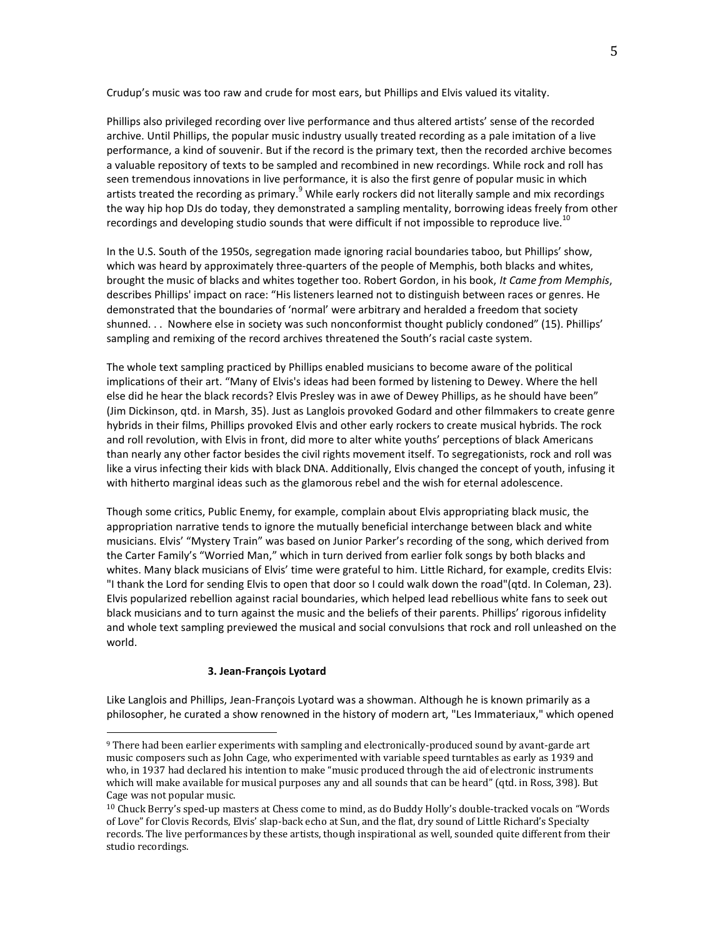Crudup's music was too raw and crude for most ears, but Phillips and Elvis valued its vitality.

Phillips also privileged recording over live performance and thus altered artists' sense of the recorded archive. Until Phillips, the popular music industry usually treated recording as a pale imitation of a live performance, a kind of souvenir. But if the record is the primary text, then the recorded archive becomes a valuable repository of texts to be sampled and recombined in new recordings. While rock and roll has seen tremendous innovations in live performance, it is also the first genre of popular music in which artists treated the recording as primary.<sup>9</sup> While early rockers did not literally sample and mix recordings the way hip hop DJs do today, they demonstrated a sampling mentality, borrowing ideas freely from other recordings and developing studio sounds that were difficult if not impossible to reproduce live. $^{10}$ 

In the U.S. South of the 1950s, segregation made ignoring racial boundaries taboo, but Phillips' show, which was heard by approximately three-quarters of the people of Memphis, both blacks and whites, brought the music of blacks and whites together too. Robert Gordon, in his book, *It Came from Memphis*, describes Phillips' impact on race: "His listeners learned not to distinguish between races or genres. He demonstrated that the boundaries of 'normal' were arbitrary and heralded a freedom that society shunned. . . Nowhere else in society was such nonconformist thought publicly condoned" (15). Phillips' sampling and remixing of the record archives threatened the South's racial caste system.

The whole text sampling practiced by Phillips enabled musicians to become aware of the political implications of their art. "Many of Elvis's ideas had been formed by listening to Dewey. Where the hell else did he hear the black records? Elvis Presley was in awe of Dewey Phillips, as he should have been" (Jim Dickinson, qtd. in Marsh, 35). Just as Langlois provoked Godard and other filmmakers to create genre hybrids in their films, Phillips provoked Elvis and other early rockers to create musical hybrids. The rock and roll revolution, with Elvis in front, did more to alter white youths' perceptions of black Americans than nearly any other factor besides the civil rights movement itself. To segregationists, rock and roll was like a virus infecting their kids with black DNA. Additionally, Elvis changed the concept of youth, infusing it with hitherto marginal ideas such as the glamorous rebel and the wish for eternal adolescence.

Though some critics, Public Enemy, for example, complain about Elvis appropriating black music, the appropriation narrative tends to ignore the mutually beneficial interchange between black and white musicians. Elvis' "Mystery Train" was based on Junior Parker's recording of the song, which derived from the Carter Family's "Worried Man," which in turn derived from earlier folk songs by both blacks and whites. Many black musicians of Elvis' time were grateful to him. Little Richard, for example, credits Elvis: "I thank the Lord for sending Elvis to open that door so I could walk down the road"(qtd. In Coleman, 23). Elvis popularized rebellion against racial boundaries, which helped lead rebellious white fans to seek out black musicians and to turn against the music and the beliefs of their parents. Phillips' rigorous infidelity and whole text sampling previewed the musical and social convulsions that rock and roll unleashed on the world.

# **3. Jean-François Lyotard**

l

Like Langlois and Phillips, Jean-François Lyotard was a showman. Although he is known primarily as a philosopher, he curated a show renowned in the history of modern art, "Les Immateriaux," which opened

<sup>9</sup> There had been earlier experiments with sampling and electronically-produced sound by avant-garde art music composers such as John Cage, who experimented with variable speed turntables as early as 1939 and who, in 1937 had declared his intention to make "music produced through the aid of electronic instruments which will make available for musical purposes any and all sounds that can be heard" (qtd. in Ross, 398). But Cage was not popular music.

<sup>10</sup> Chuck Berry's sped-up masters at Chess come to mind, as do Buddy Holly's double-tracked vocals on "Words of Love" for Clovis Records, Elvis' slap-back echo at Sun, and the flat, dry sound of Little Richard's Specialty records. The live performances by these artists, though inspirational as well, sounded quite different from their studio recordings.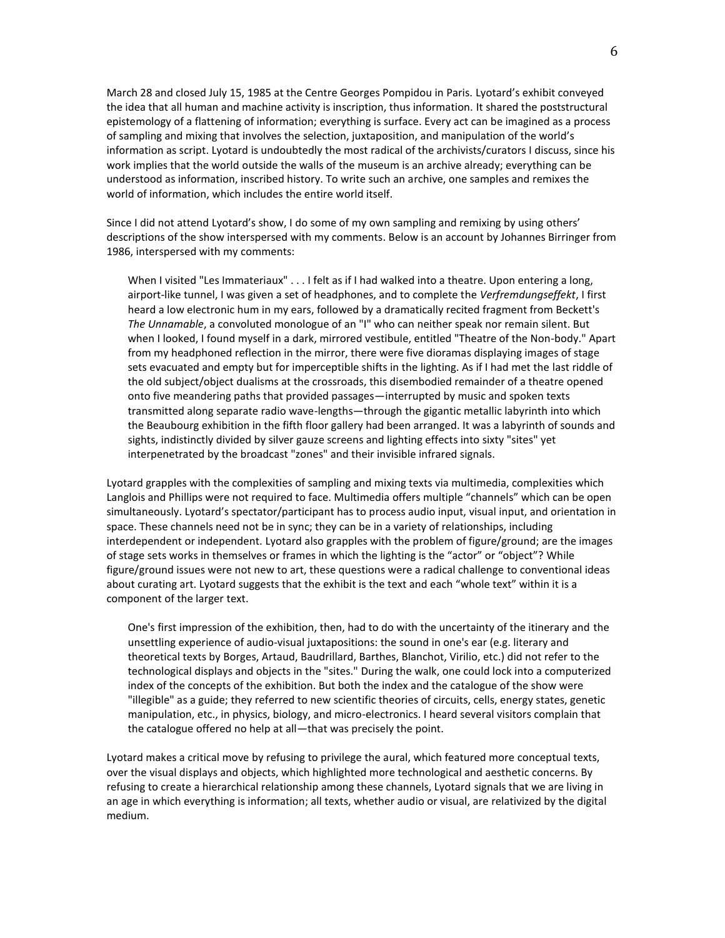March 28 and closed July 15, 1985 at the Centre Georges Pompidou in Paris. Lyotard's exhibit conveyed the idea that all human and machine activity is inscription, thus information. It shared the poststructural epistemology of a flattening of information; everything is surface. Every act can be imagined as a process of sampling and mixing that involves the selection, juxtaposition, and manipulation of the world's information as script. Lyotard is undoubtedly the most radical of the archivists/curators I discuss, since his work implies that the world outside the walls of the museum is an archive already; everything can be understood as information, inscribed history. To write such an archive, one samples and remixes the world of information, which includes the entire world itself.

Since I did not attend Lyotard's show, I do some of my own sampling and remixing by using others' descriptions of the show interspersed with my comments. Below is an account by Johannes Birringer from 1986, interspersed with my comments:

When I visited "Les Immateriaux" . . . I felt as if I had walked into a theatre. Upon entering a long, airport-like tunnel, I was given a set of headphones, and to complete the *Verfremdungseffekt*, I first heard a low electronic hum in my ears, followed by a dramatically recited fragment from Beckett's *The Unnamable*, a convoluted monologue of an "I" who can neither speak nor remain silent. But when I looked, I found myself in a dark, mirrored vestibule, entitled "Theatre of the Non-body." Apart from my headphoned reflection in the mirror, there were five dioramas displaying images of stage sets evacuated and empty but for imperceptible shifts in the lighting. As if I had met the last riddle of the old subject/object dualisms at the crossroads, this disembodied remainder of a theatre opened onto five meandering paths that provided passages—interrupted by music and spoken texts transmitted along separate radio wave-lengths—through the gigantic metallic labyrinth into which the Beaubourg exhibition in the fifth floor gallery had been arranged. It was a labyrinth of sounds and sights, indistinctly divided by silver gauze screens and lighting effects into sixty "sites" yet interpenetrated by the broadcast "zones" and their invisible infrared signals.

Lyotard grapples with the complexities of sampling and mixing texts via multimedia, complexities which Langlois and Phillips were not required to face. Multimedia offers multiple "channels" which can be open simultaneously. Lyotard's spectator/participant has to process audio input, visual input, and orientation in space. These channels need not be in sync; they can be in a variety of relationships, including interdependent or independent. Lyotard also grapples with the problem of figure/ground; are the images of stage sets works in themselves or frames in which the lighting is the "actor" or "object"? While figure/ground issues were not new to art, these questions were a radical challenge to conventional ideas about curating art. Lyotard suggests that the exhibit is the text and each "whole text" within it is a component of the larger text.

One's first impression of the exhibition, then, had to do with the uncertainty of the itinerary and the unsettling experience of audio-visual juxtapositions: the sound in one's ear (e.g. literary and theoretical texts by Borges, Artaud, Baudrillard, Barthes, Blanchot, Virilio, etc.) did not refer to the technological displays and objects in the "sites." During the walk, one could lock into a computerized index of the concepts of the exhibition. But both the index and the catalogue of the show were "illegible" as a guide; they referred to new scientific theories of circuits, cells, energy states, genetic manipulation, etc., in physics, biology, and micro-electronics. I heard several visitors complain that the catalogue offered no help at all—that was precisely the point.

Lyotard makes a critical move by refusing to privilege the aural, which featured more conceptual texts, over the visual displays and objects, which highlighted more technological and aesthetic concerns. By refusing to create a hierarchical relationship among these channels, Lyotard signals that we are living in an age in which everything is information; all texts, whether audio or visual, are relativized by the digital medium.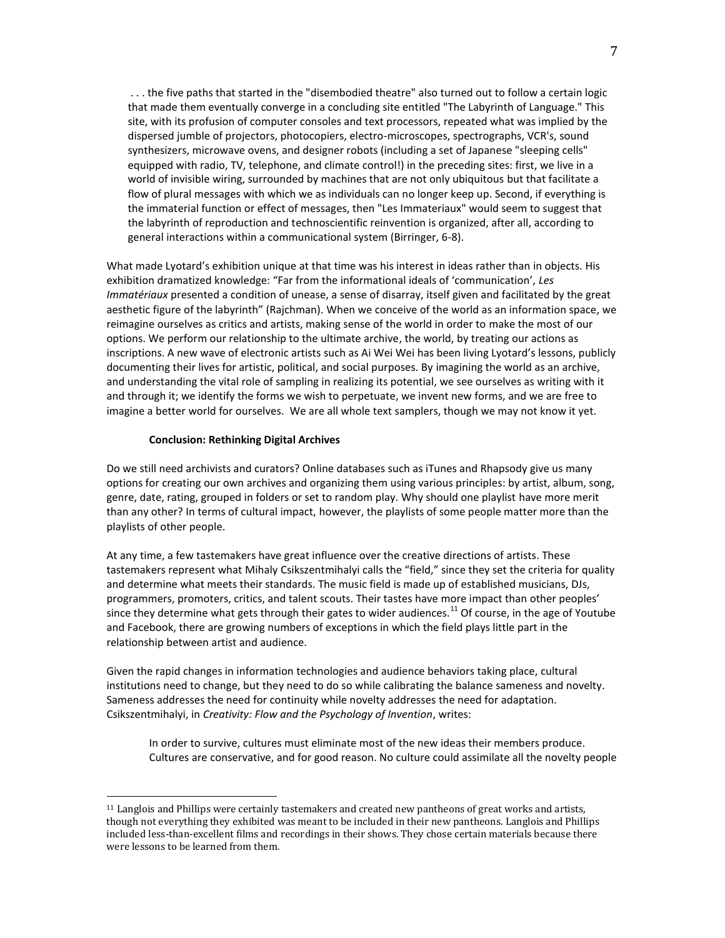. . . the five paths that started in the "disembodied theatre" also turned out to follow a certain logic that made them eventually converge in a concluding site entitled "The Labyrinth of Language." This site, with its profusion of computer consoles and text processors, repeated what was implied by the dispersed jumble of projectors, photocopiers, electro-microscopes, spectrographs, VCR's, sound synthesizers, microwave ovens, and designer robots (including a set of Japanese "sleeping cells" equipped with radio, TV, telephone, and climate control!) in the preceding sites: first, we live in a world of invisible wiring, surrounded by machines that are not only ubiquitous but that facilitate a flow of plural messages with which we as individuals can no longer keep up. Second, if everything is the immaterial function or effect of messages, then "Les Immateriaux" would seem to suggest that the labyrinth of reproduction and technoscientific reinvention is organized, after all, according to general interactions within a communicational system (Birringer, 6-8).

What made Lyotard's exhibition unique at that time was his interest in ideas rather than in objects. His exhibition dramatized knowledge: "Far from the informational ideals of 'communication', *Les Immatériaux* presented a condition of unease, a sense of disarray, itself given and facilitated by the great aesthetic figure of the labyrinth" (Rajchman). When we conceive of the world as an information space, we reimagine ourselves as critics and artists, making sense of the world in order to make the most of our options. We perform our relationship to the ultimate archive, the world, by treating our actions as inscriptions. A new wave of electronic artists such as Ai Wei Wei has been living Lyotard's lessons, publicly documenting their lives for artistic, political, and social purposes. By imagining the world as an archive, and understanding the vital role of sampling in realizing its potential, we see ourselves as writing with it and through it; we identify the forms we wish to perpetuate, we invent new forms, and we are free to imagine a better world for ourselves. We are all whole text samplers, though we may not know it yet.

## **Conclusion: Rethinking Digital Archives**

 $\overline{\phantom{a}}$ 

Do we still need archivists and curators? Online databases such as iTunes and Rhapsody give us many options for creating our own archives and organizing them using various principles: by artist, album, song, genre, date, rating, grouped in folders or set to random play. Why should one playlist have more merit than any other? In terms of cultural impact, however, the playlists of some people matter more than the playlists of other people.

At any time, a few tastemakers have great influence over the creative directions of artists. These tastemakers represent what Mihaly Csikszentmihalyi calls the "field," since they set the criteria for quality and determine what meets their standards. The music field is made up of established musicians, DJs, programmers, promoters, critics, and talent scouts. Their tastes have more impact than other peoples' since they determine what gets through their gates to wider audiences.<sup>11</sup> Of course, in the age of Youtube and Facebook, there are growing numbers of exceptions in which the field plays little part in the relationship between artist and audience.

Given the rapid changes in information technologies and audience behaviors taking place, cultural institutions need to change, but they need to do so while calibrating the balance sameness and novelty. Sameness addresses the need for continuity while novelty addresses the need for adaptation. Csikszentmihalyi, in *Creativity: Flow and the Psychology of Invention*, writes:

In order to survive, cultures must eliminate most of the new ideas their members produce. Cultures are conservative, and for good reason. No culture could assimilate all the novelty people

<sup>11</sup> Langlois and Phillips were certainly tastemakers and created new pantheons of great works and artists, though not everything they exhibited was meant to be included in their new pantheons. Langlois and Phillips included less-than-excellent films and recordings in their shows. They chose certain materials because there were lessons to be learned from them.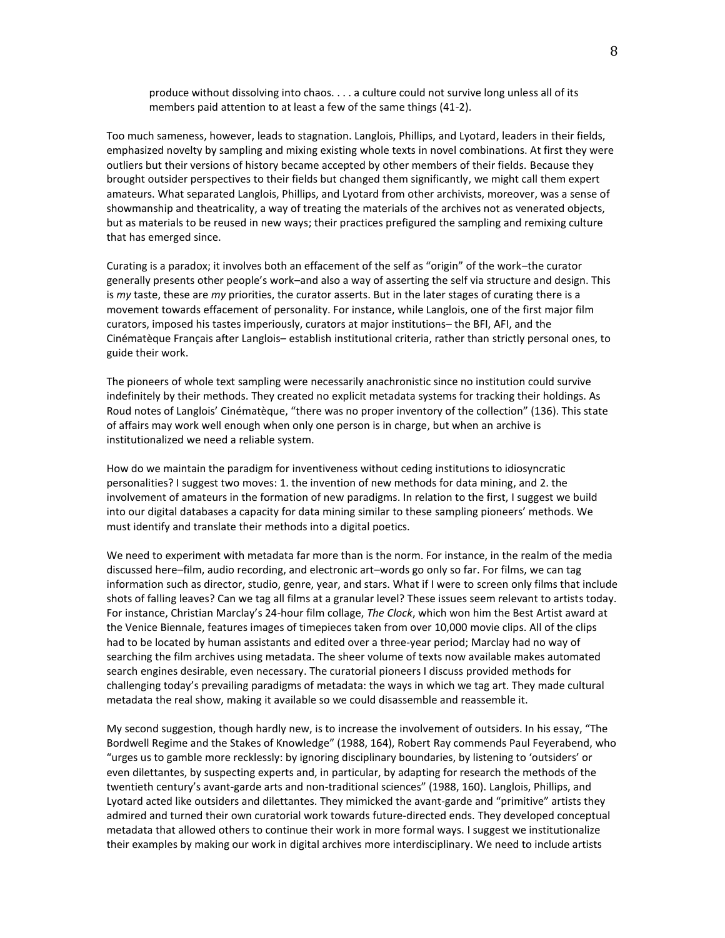produce without dissolving into chaos. . . . a culture could not survive long unless all of its members paid attention to at least a few of the same things (41-2).

Too much sameness, however, leads to stagnation. Langlois, Phillips, and Lyotard, leaders in their fields, emphasized novelty by sampling and mixing existing whole texts in novel combinations. At first they were outliers but their versions of history became accepted by other members of their fields. Because they brought outsider perspectives to their fields but changed them significantly, we might call them expert amateurs. What separated Langlois, Phillips, and Lyotard from other archivists, moreover, was a sense of showmanship and theatricality, a way of treating the materials of the archives not as venerated objects, but as materials to be reused in new ways; their practices prefigured the sampling and remixing culture that has emerged since.

Curating is a paradox; it involves both an effacement of the self as "origin" of the work–the curator generally presents other people's work–and also a way of asserting the self via structure and design. This is *my* taste, these are *my* priorities, the curator asserts. But in the later stages of curating there is a movement towards effacement of personality. For instance, while Langlois, one of the first major film curators, imposed his tastes imperiously, curators at major institutions– the BFI, AFI, and the Cinématèque Français after Langlois– establish institutional criteria, rather than strictly personal ones, to guide their work.

The pioneers of whole text sampling were necessarily anachronistic since no institution could survive indefinitely by their methods. They created no explicit metadata systems for tracking their holdings. As Roud notes of Langlois' Cinématèque, "there was no proper inventory of the collection" (136). This state of affairs may work well enough when only one person is in charge, but when an archive is institutionalized we need a reliable system.

How do we maintain the paradigm for inventiveness without ceding institutions to idiosyncratic personalities? I suggest two moves: 1. the invention of new methods for data mining, and 2. the involvement of amateurs in the formation of new paradigms. In relation to the first, I suggest we build into our digital databases a capacity for data mining similar to these sampling pioneers' methods. We must identify and translate their methods into a digital poetics.

We need to experiment with metadata far more than is the norm. For instance, in the realm of the media discussed here–film, audio recording, and electronic art–words go only so far. For films, we can tag information such as director, studio, genre, year, and stars. What if I were to screen only films that include shots of falling leaves? Can we tag all films at a granular level? These issues seem relevant to artists today. For instance, Christian Marclay's 24-hour film collage, *The Clock*, which won him the Best Artist award at the Venice Biennale, features images of timepieces taken from over 10,000 movie clips. All of the clips had to be located by human assistants and edited over a three-year period; Marclay had no way of searching the film archives using metadata. The sheer volume of texts now available makes automated search engines desirable, even necessary. The curatorial pioneers I discuss provided methods for challenging today's prevailing paradigms of metadata: the ways in which we tag art. They made cultural metadata the real show, making it available so we could disassemble and reassemble it.

My second suggestion, though hardly new, is to increase the involvement of outsiders. In his essay, "The Bordwell Regime and the Stakes of Knowledge" (1988, 164), Robert Ray commends Paul Feyerabend, who "urges us to gamble more recklessly: by ignoring disciplinary boundaries, by listening to 'outsiders' or even dilettantes, by suspecting experts and, in particular, by adapting for research the methods of the twentieth century's avant-garde arts and non-traditional sciences" (1988, 160). Langlois, Phillips, and Lyotard acted like outsiders and dilettantes. They mimicked the avant-garde and "primitive" artists they admired and turned their own curatorial work towards future-directed ends. They developed conceptual metadata that allowed others to continue their work in more formal ways. I suggest we institutionalize their examples by making our work in digital archives more interdisciplinary. We need to include artists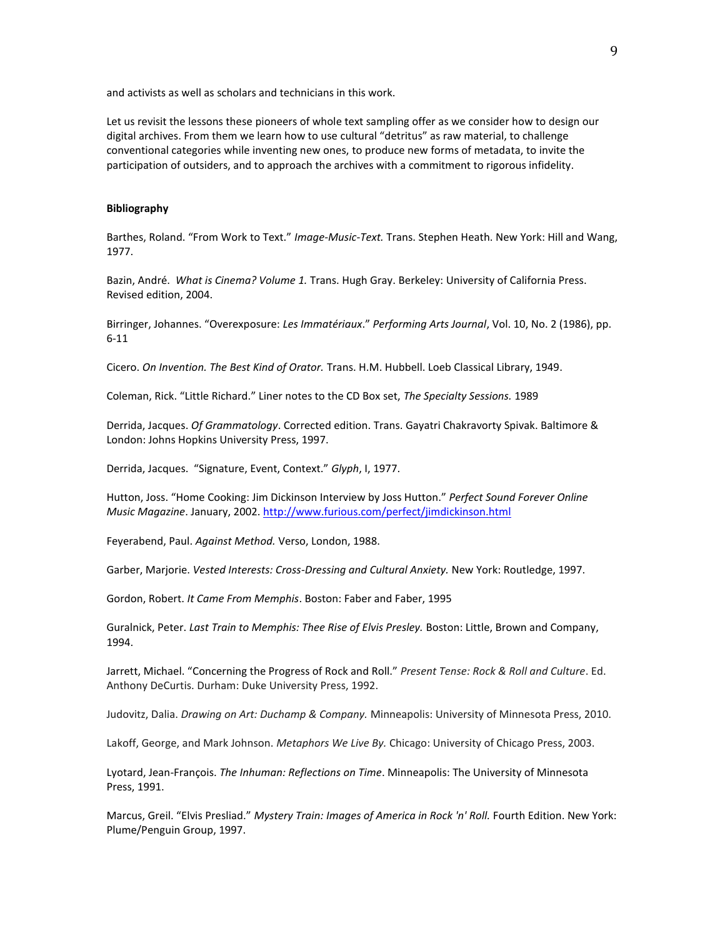and activists as well as scholars and technicians in this work.

Let us revisit the lessons these pioneers of whole text sampling offer as we consider how to design our digital archives. From them we learn how to use cultural "detritus" as raw material, to challenge conventional categories while inventing new ones, to produce new forms of metadata, to invite the participation of outsiders, and to approach the archives with a commitment to rigorous infidelity.

# **Bibliography**

Barthes, Roland. "From Work to Text." *Image-Music-Text.* Trans. Stephen Heath. New York: Hill and Wang, 1977.

Bazin, André. *What is Cinema? Volume 1.* Trans. Hugh Gray. Berkeley: University of California Press. Revised edition, 2004.

Birringer, Johannes. "Overexposure: *Les Immatériaux*." *Performing Arts Journal*, Vol. 10, No. 2 (1986), pp. 6-11

Cicero. *On Invention. The Best Kind of Orator.* Trans. H.M. Hubbell. Loeb Classical Library, 1949.

Coleman, Rick. "Little Richard." Liner notes to the CD Box set, *The Specialty Sessions.* 1989

Derrida, Jacques. *Of Grammatology*. Corrected edition. Trans. Gayatri Chakravorty Spivak. Baltimore & London: Johns Hopkins University Press, 1997.

Derrida, Jacques. "Signature, Event, Context." *Glyph*, I, 1977.

Hutton, Joss. "Home Cooking: Jim Dickinson Interview by Joss Hutton." *Perfect Sound Forever Online Music Magazine*. January, 2002[. http://www.furious.com/perfect/jimdickinson.html](http://www.furious.com/perfect/jimdickinson.html)

Feyerabend, Paul. *Against Method.* Verso, London, 1988.

Garber, Marjorie. *Vested Interests: Cross-Dressing and Cultural Anxiety.* New York: Routledge, 1997.

Gordon, Robert. *It Came From Memphis*. Boston: Faber and Faber, 1995

Guralnick, Peter. *Last Train to Memphis: Thee Rise of Elvis Presley.* Boston: Little, Brown and Company, 1994.

Jarrett, Michael. "Concerning the Progress of Rock and Roll." *Present Tense: Rock & Roll and Culture*. Ed. Anthony DeCurtis. Durham: Duke University Press, 1992.

Judovitz, Dalia. *Drawing on Art: Duchamp & Company.* Minneapolis: University of Minnesota Press, 2010.

Lakoff, George, and Mark Johnson. *Metaphors We Live By.* Chicago: University of Chicago Press, 2003.

Lyotard, Jean-François. *The Inhuman: Reflections on Time*. Minneapolis: The University of Minnesota Press, 1991.

Marcus, Greil. "Elvis Presliad." *Mystery Train: Images of America in Rock 'n' Roll.* Fourth Edition. New York: Plume/Penguin Group, 1997.